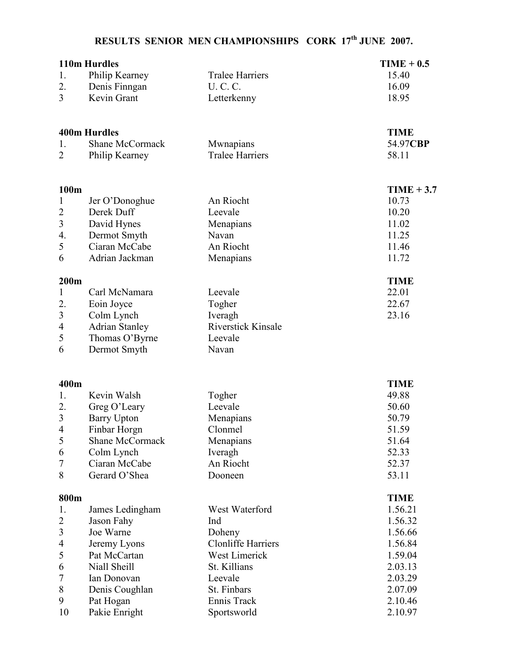## RESULTS SENIOR MEN CHAMPIONSHIPS CORK 17<sup>th</sup> JUNE 2007.

|                          | 110m Hurdles           |                           | $TIME + 0.5$ |
|--------------------------|------------------------|---------------------------|--------------|
| 1.                       | Philip Kearney         | <b>Tralee Harriers</b>    | 15.40        |
| 2.                       | Denis Finngan          | <b>U.C.C.</b>             | 16.09        |
| 3                        | Kevin Grant            | Letterkenny               | 18.95        |
|                          |                        |                           |              |
|                          | <b>400m Hurdles</b>    |                           | <b>TIME</b>  |
| 1.                       | <b>Shane McCormack</b> | Mwnapians                 | 54.97CBP     |
| $\overline{2}$           | Philip Kearney         | <b>Tralee Harriers</b>    | 58.11        |
|                          |                        |                           |              |
| 100m                     |                        |                           | $TIME + 3.7$ |
| $\mathbf{1}$             | Jer O'Donoghue         | An Riocht                 | 10.73        |
| $\overline{2}$           | Derek Duff             | Leevale                   | 10.20        |
| $\mathfrak{Z}$           | David Hynes            | Menapians                 | 11.02        |
| 4.                       | Dermot Smyth           | Navan                     | 11.25        |
| 5                        | Ciaran McCabe          | An Riocht                 | 11.46        |
| 6                        | Adrian Jackman         | Menapians                 | 11.72        |
| 200m                     |                        |                           | <b>TIME</b>  |
| $\mathbf{1}$             | Carl McNamara          | Leevale                   | 22.01        |
| 2.                       | Eoin Joyce             | Togher                    | 22.67        |
| $\mathfrak{Z}$           | Colm Lynch             | Iveragh                   | 23.16        |
| $\overline{4}$           | <b>Adrian Stanley</b>  | <b>Riverstick Kinsale</b> |              |
| 5                        | Thomas O'Byrne         | Leevale                   |              |
| 6                        | Dermot Smyth           | Navan                     |              |
|                          |                        |                           |              |
| 400m                     |                        |                           | <b>TIME</b>  |
| 1.                       | Kevin Walsh            | Togher                    | 49.88        |
| 2.                       | Greg O'Leary           | Leevale                   | 50.60        |
| 3                        | <b>Barry Upton</b>     | Menapians                 | 50.79        |
| $\overline{\mathcal{A}}$ | Finbar Horgn           | Clonmel                   | 51.59        |
| 5                        | Shane McCormack        | Menapians                 | 51.64        |
| 6                        | Colm Lynch             | Iveragh                   | 52.33        |
| 7                        | Ciaran McCabe          | An Riocht                 | 52.37        |
| 8                        | Gerard O'Shea          | Dooneen                   | 53.11        |
| 800m                     |                        |                           | <b>TIME</b>  |
| 1.                       | James Ledingham        | West Waterford            | 1.56.21      |
| $\overline{c}$           | Jason Fahy             | Ind                       | 1.56.32      |
| 3                        | Joe Warne              | Doheny                    | 1.56.66      |
| 4                        | Jeremy Lyons           | <b>Clonliffe Harriers</b> | 1.56.84      |
| 5                        | Pat McCartan           | West Limerick             | 1.59.04      |
| 6                        | Niall Sheill           | St. Killians              | 2.03.13      |
| 7                        | Ian Donovan            | Leevale                   | 2.03.29      |
| 8                        | Denis Coughlan         | St. Finbars               | 2.07.09      |
| 9                        | Pat Hogan              | Ennis Track               | 2.10.46      |
| 10                       | Pakie Enright          | Sportsworld               | 2.10.97      |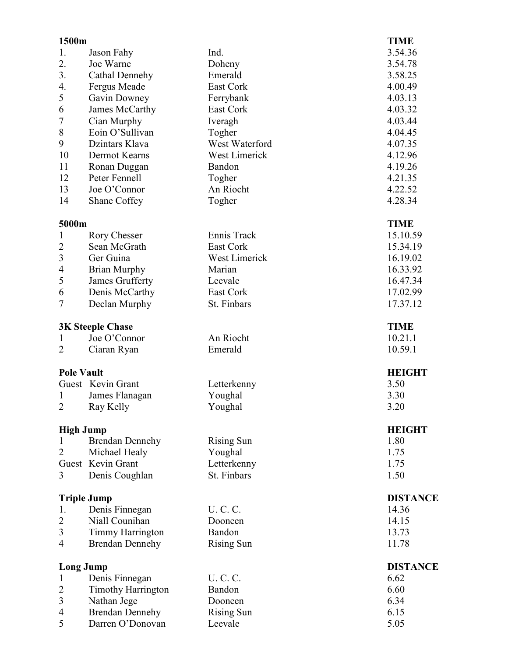| 1500m             |                           |                   | <b>TIME</b>     |
|-------------------|---------------------------|-------------------|-----------------|
| 1.                | Jason Fahy                | Ind.              | 3.54.36         |
| 2.                | Joe Warne                 | Doheny            | 3.54.78         |
| 3.                | Cathal Dennehy            | Emerald           | 3.58.25         |
| 4.                | Fergus Meade              | East Cork         | 4.00.49         |
| 5                 | Gavin Downey              | Ferrybank         | 4.03.13         |
| 6                 | James McCarthy            | East Cork         | 4.03.32         |
| $\overline{7}$    | Cian Murphy               | Iveragh           | 4.03.44         |
| 8                 | Eoin O'Sullivan           | Togher            | 4.04.45         |
| 9                 | Dzintars Klava            | West Waterford    | 4.07.35         |
| 10                | Dermot Kearns             | West Limerick     | 4.12.96         |
| 11                | Ronan Duggan              | Bandon            | 4.19.26         |
| 12                | Peter Fennell             | Togher            | 4.21.35         |
| 13                | Joe O'Connor              | An Riocht         | 4.22.52         |
| 14                | Shane Coffey              | Togher            | 4.28.34         |
| 5000m             |                           |                   | <b>TIME</b>     |
| $\mathbf{1}$      | Rory Chesser              | Ennis Track       | 15.10.59        |
| $\overline{c}$    | Sean McGrath              | <b>East Cork</b>  | 15.34.19        |
| 3                 | Ger Guina                 | West Limerick     | 16.19.02        |
| 4                 | <b>Brian Murphy</b>       | Marian            | 16.33.92        |
| 5                 | James Grufferty           | Leevale           | 16.47.34        |
| 6                 | Denis McCarthy            | East Cork         | 17.02.99        |
| 7                 | Declan Murphy             | St. Finbars       | 17.37.12        |
|                   | <b>3K Steeple Chase</b>   |                   | <b>TIME</b>     |
| 1                 | Joe O'Connor              | An Riocht         | 10.21.1         |
| $\overline{2}$    | Ciaran Ryan               | Emerald           | 10.59.1         |
| <b>Pole Vault</b> |                           |                   | <b>HEIGHT</b>   |
|                   | Guest Kevin Grant         | Letterkenny       | 3.50            |
| 1                 | James Flanagan            | Youghal           | 3.30            |
| $\overline{2}$    | Ray Kelly                 | Youghal           | 3.20            |
| <b>High Jump</b>  |                           |                   | <b>HEIGHT</b>   |
| 1                 | <b>Brendan Dennehy</b>    | <b>Rising Sun</b> | 1.80            |
| 2                 | Michael Healy             | Youghal           | 1.75            |
|                   | Guest Kevin Grant         | Letterkenny       | 1.75            |
| 3                 | Denis Coughlan            | St. Finbars       | 1.50            |
|                   | <b>Triple Jump</b>        |                   | <b>DISTANCE</b> |
| 1.                | Denis Finnegan            | U. C. C.          | 14.36           |
| $\overline{2}$    | Niall Counihan            | Dooneen           | 14.15           |
| 3                 | <b>Timmy Harrington</b>   | Bandon            | 13.73           |
| 4                 | <b>Brendan Dennehy</b>    | <b>Rising Sun</b> | 11.78           |
| <b>Long Jump</b>  |                           |                   | <b>DISTANCE</b> |
| $\mathbf{1}$      | Denis Finnegan            | U. C. C.          | 6.62            |
| $\overline{c}$    | <b>Timothy Harrington</b> | Bandon            | 6.60            |
| 3                 | Nathan Jege               | Dooneen           | 6.34            |
| 4                 | <b>Brendan Dennehy</b>    | <b>Rising Sun</b> | 6.15            |
| 5                 | Darren O'Donovan          | Leevale           | 5.05            |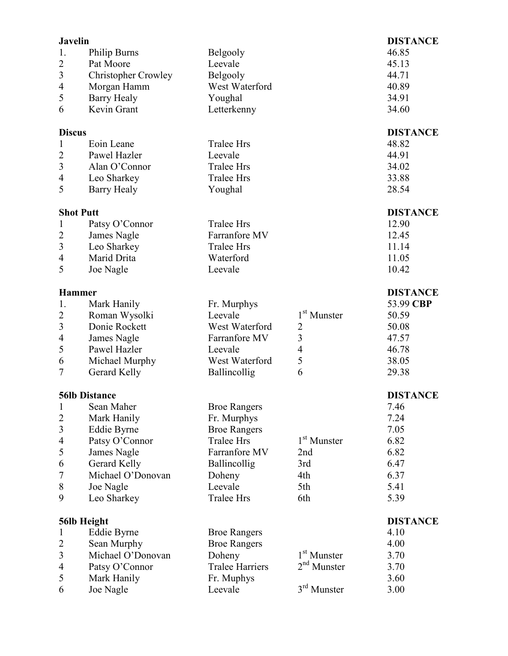| <b>Javelin</b>   |                            |                        |                         | <b>DISTANCE</b> |
|------------------|----------------------------|------------------------|-------------------------|-----------------|
| 1.               | <b>Philip Burns</b>        | Belgooly               |                         | 46.85           |
| $\overline{2}$   | Pat Moore                  | Leevale                |                         | 45.13           |
| 3                | <b>Christopher Crowley</b> | Belgooly               |                         | 44.71           |
| $\overline{4}$   | Morgan Hamm                | West Waterford         |                         | 40.89           |
| 5                | <b>Barry Healy</b>         | Youghal                |                         | 34.91           |
| 6                | Kevin Grant                | Letterkenny            |                         | 34.60           |
|                  |                            |                        |                         |                 |
| <b>Discus</b>    |                            |                        |                         | <b>DISTANCE</b> |
| 1                | Eoin Leane                 | <b>Tralee Hrs</b>      |                         | 48.82           |
| $\overline{2}$   | Pawel Hazler               | Leevale                |                         | 44.91           |
| $\mathfrak{Z}$   | Alan O'Connor              | <b>Tralee Hrs</b>      |                         | 34.02           |
| 4                | Leo Sharkey                | <b>Tralee Hrs</b>      |                         | 33.88           |
| 5                | <b>Barry Healy</b>         | Youghal                |                         | 28.54           |
|                  |                            |                        |                         |                 |
| <b>Shot Putt</b> |                            | <b>Tralee Hrs</b>      |                         | <b>DISTANCE</b> |
| $\mathbf{1}$     | Patsy O'Connor             |                        |                         | 12.90           |
| $\overline{c}$   | James Nagle                | Farranfore MV          |                         | 12.45           |
| $\overline{3}$   | Leo Sharkey                | <b>Tralee Hrs</b>      |                         | 11.14           |
| 4                | Marid Drita                | Waterford              |                         | 11.05           |
| 5                | Joe Nagle                  | Leevale                |                         | 10.42           |
| <b>Hammer</b>    |                            |                        |                         | <b>DISTANCE</b> |
| 1.               | Mark Hanily                | Fr. Murphys            |                         | 53.99 CBP       |
| $\overline{2}$   | Roman Wysolki              | Leevale                | 1 <sup>st</sup> Munster | 50.59           |
| $\overline{3}$   | Donie Rockett              | West Waterford         | $\overline{2}$          | 50.08           |
| $\overline{4}$   | James Nagle                | Farranfore MV          | $\overline{3}$          | 47.57           |
| 5                | Pawel Hazler               | Leevale                | 4                       | 46.78           |
| 6                | Michael Murphy             | West Waterford         | 5                       | 38.05           |
| 7                | Gerard Kelly               | Ballincollig           | 6                       | 29.38           |
|                  |                            |                        |                         |                 |
|                  | <b>56lb Distance</b>       |                        |                         | <b>DISTANCE</b> |
| 1                | Sean Maher                 | <b>Broe Rangers</b>    |                         | 7.46            |
| $\overline{2}$   | Mark Hanily                | Fr. Murphys            |                         | 7.24            |
| $\mathfrak{Z}$   | Eddie Byrne                | <b>Broe Rangers</b>    |                         | 7.05            |
| 4                | Patsy O'Connor             | <b>Tralee Hrs</b>      | 1 <sup>st</sup> Munster | 6.82            |
| 5                | James Nagle                | Farranfore MV          | 2nd                     | 6.82            |
| 6                | Gerard Kelly               | Ballincollig           | 3rd                     | 6.47            |
| 7                | Michael O'Donovan          | Doheny                 | 4th                     | 6.37            |
| 8                | Joe Nagle                  | Leevale                | 5th                     | 5.41            |
| 9                | Leo Sharkey                | <b>Tralee Hrs</b>      | 6th                     | 5.39            |
|                  | 56lb Height                |                        |                         | <b>DISTANCE</b> |
| 1                | Eddie Byrne                | <b>Broe Rangers</b>    |                         | 4.10            |
| $\overline{c}$   | Sean Murphy                | <b>Broe Rangers</b>    |                         | 4.00            |
| 3                | Michael O'Donovan          | Doheny                 | 1 <sup>st</sup> Munster | 3.70            |
| $\overline{4}$   | Patsy O'Connor             | <b>Tralee Harriers</b> | $2nd$ Munster           | 3.70            |
| 5                | Mark Hanily                | Fr. Muphys             |                         | 3.60            |
| 6                | Joe Nagle                  | Leevale                | 3 <sup>rd</sup> Munster | 3.00            |
|                  |                            |                        |                         |                 |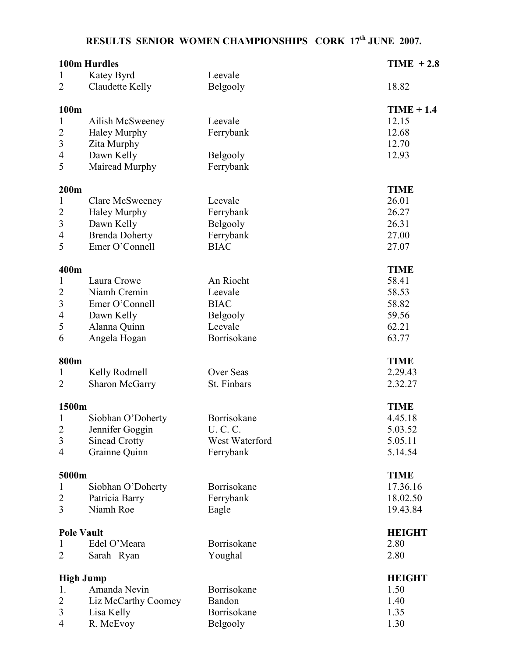## RESULTS SENIOR WOMEN CHAMPIONSHIPS CORK 17<sup>th</sup> JUNE 2007.

|                         | 100m Hurdles          |                | $TIME + 2.8$  |
|-------------------------|-----------------------|----------------|---------------|
| 1                       | Katey Byrd            | Leevale        |               |
| $\overline{2}$          | Claudette Kelly       | Belgooly       | 18.82         |
| 100m                    |                       |                | $TIME + 1.4$  |
| 1                       | Ailish McSweeney      | Leevale        | 12.15         |
| $\overline{c}$          | <b>Haley Murphy</b>   | Ferrybank      | 12.68         |
| $\overline{\mathbf{3}}$ | Zita Murphy           |                | 12.70         |
| 4                       | Dawn Kelly            | Belgooly       | 12.93         |
| 5                       | Mairead Murphy        | Ferrybank      |               |
|                         |                       |                |               |
| 200m                    |                       |                | <b>TIME</b>   |
| 1                       | Clare McSweeney       | Leevale        | 26.01         |
| $\overline{c}$          | <b>Haley Murphy</b>   | Ferrybank      | 26.27         |
| $\mathfrak{Z}$          | Dawn Kelly            | Belgooly       | 26.31         |
| $\overline{4}$          | <b>Brenda Doherty</b> | Ferrybank      | 27.00         |
| 5                       | Emer O'Connell        | <b>BIAC</b>    | 27.07         |
| 400m                    |                       |                | <b>TIME</b>   |
| $\mathbf{1}$            | Laura Crowe           | An Riocht      | 58.41         |
| $\overline{c}$          | Niamh Cremin          | Leevale        | 58.53         |
| $\overline{\mathbf{3}}$ | Emer O'Connell        | <b>BIAC</b>    | 58.82         |
| 4                       | Dawn Kelly            | Belgooly       | 59.56         |
| 5                       | Alanna Quinn          | Leevale        | 62.21         |
| 6                       | Angela Hogan          | Borrisokane    | 63.77         |
| 800m                    |                       |                | <b>TIME</b>   |
| 1                       | Kelly Rodmell         | Over Seas      | 2.29.43       |
| $\overline{2}$          | <b>Sharon McGarry</b> | St. Finbars    | 2.32.27       |
|                         |                       |                |               |
| 1500m                   |                       |                | <b>TIME</b>   |
| 1                       | Siobhan O'Doherty     | Borrisokane    | 4.45.18       |
| $\overline{c}$          | Jennifer Goggin       | U. C. C.       | 5.03.52       |
| 3                       | <b>Sinead Crotty</b>  | West Waterford | 5.05.11       |
| $\overline{4}$          | Grainne Quinn         | Ferrybank      | 5.14.54       |
| 5000m                   |                       |                | <b>TIME</b>   |
| $\mathbf{1}$            | Siobhan O'Doherty     | Borrisokane    | 17.36.16      |
| $\overline{2}$          | Patricia Barry        | Ferrybank      | 18.02.50      |
| 3                       | Niamh Roe             | Eagle          | 19.43.84      |
|                         |                       |                |               |
| <b>Pole Vault</b>       |                       |                | <b>HEIGHT</b> |
| 1                       | Edel O'Meara          | Borrisokane    | 2.80          |
| 2                       | Sarah Ryan            | Youghal        | 2.80          |
| <b>High Jump</b>        |                       |                | <b>HEIGHT</b> |
| 1.                      | Amanda Nevin          | Borrisokane    | 1.50          |
| $\overline{2}$          | Liz McCarthy Coomey   | Bandon         | 1.40          |
| 3                       | Lisa Kelly            | Borrisokane    | 1.35          |
| $\overline{4}$          | R. McEvoy             | Belgooly       | 1.30          |